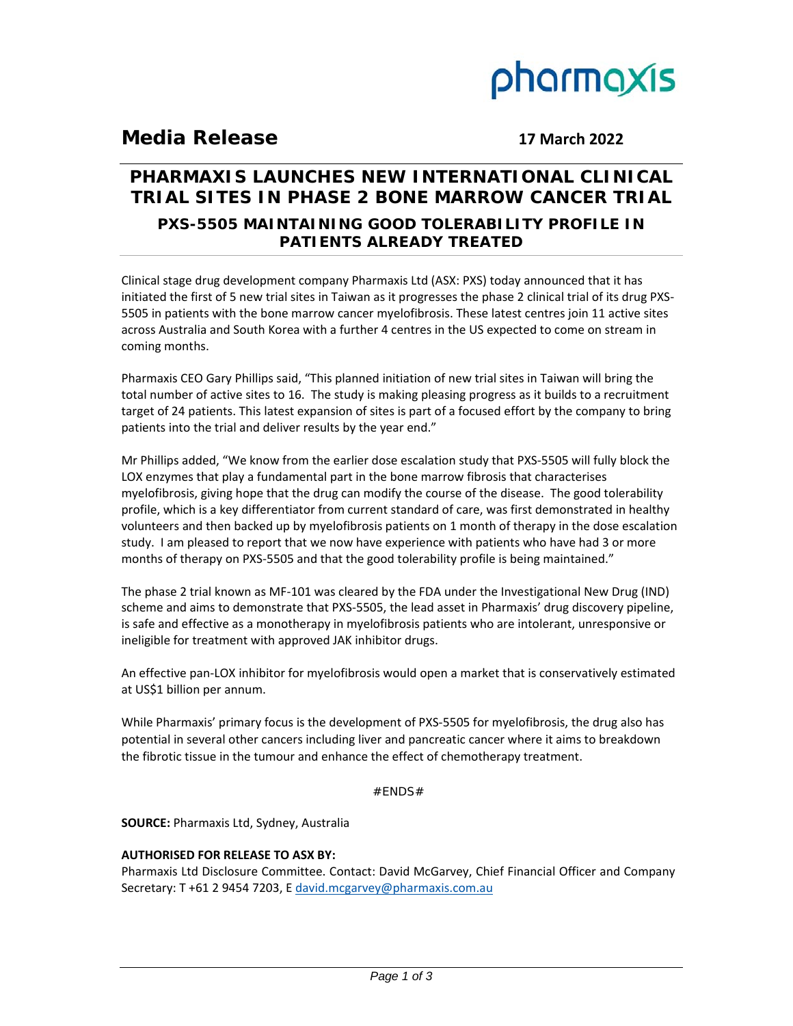

# **Media Release 17 March 2022**

# **PHARMAXIS LAUNCHES NEW INTERNATIONAL CLINICAL TRIAL SITES IN PHASE 2 BONE MARROW CANCER TRIAL PXS-5505 MAINTAINING GOOD TOLERABILITY PROFILE IN PATIENTS ALREADY TREATED**

Clinical stage drug development company Pharmaxis Ltd (ASX: PXS) today announced that it has initiated the first of 5 new trial sites in Taiwan as it progresses the phase 2 clinical trial of its drug PXS‐ 5505 in patients with the bone marrow cancer myelofibrosis. These latest centres join 11 active sites across Australia and South Korea with a further 4 centres in the US expected to come on stream in coming months.

Pharmaxis CEO Gary Phillips said, "This planned initiation of new trial sites in Taiwan will bring the total number of active sites to 16. The study is making pleasing progress as it builds to a recruitment target of 24 patients. This latest expansion of sites is part of a focused effort by the company to bring patients into the trial and deliver results by the year end."

Mr Phillips added, "We know from the earlier dose escalation study that PXS‐5505 will fully block the LOX enzymes that play a fundamental part in the bone marrow fibrosis that characterises myelofibrosis, giving hope that the drug can modify the course of the disease. The good tolerability profile, which is a key differentiator from current standard of care, was first demonstrated in healthy volunteers and then backed up by myelofibrosis patients on 1 month of therapy in the dose escalation study. I am pleased to report that we now have experience with patients who have had 3 or more months of therapy on PXS-5505 and that the good tolerability profile is being maintained."

The phase 2 trial known as MF‐101 was cleared by the FDA under the Investigational New Drug (IND) scheme and aims to demonstrate that PXS‐5505, the lead asset in Pharmaxis' drug discovery pipeline, is safe and effective as a monotherapy in myelofibrosis patients who are intolerant, unresponsive or ineligible for treatment with approved JAK inhibitor drugs.

An effective pan‐LOX inhibitor for myelofibrosis would open a market that is conservatively estimated at US\$1 billion per annum.

While Pharmaxis' primary focus is the development of PXS‐5505 for myelofibrosis, the drug also has potential in several other cancers including liver and pancreatic cancer where it aims to breakdown the fibrotic tissue in the tumour and enhance the effect of chemotherapy treatment.

 $#FNDS#$ 

**SOURCE:** Pharmaxis Ltd, Sydney, Australia

### **AUTHORISED FOR RELEASE TO ASX BY:**

Pharmaxis Ltd Disclosure Committee. Contact: David McGarvey, Chief Financial Officer and Company Secretary: T +61 2 9454 7203, E david.mcgarvey@pharmaxis.com.au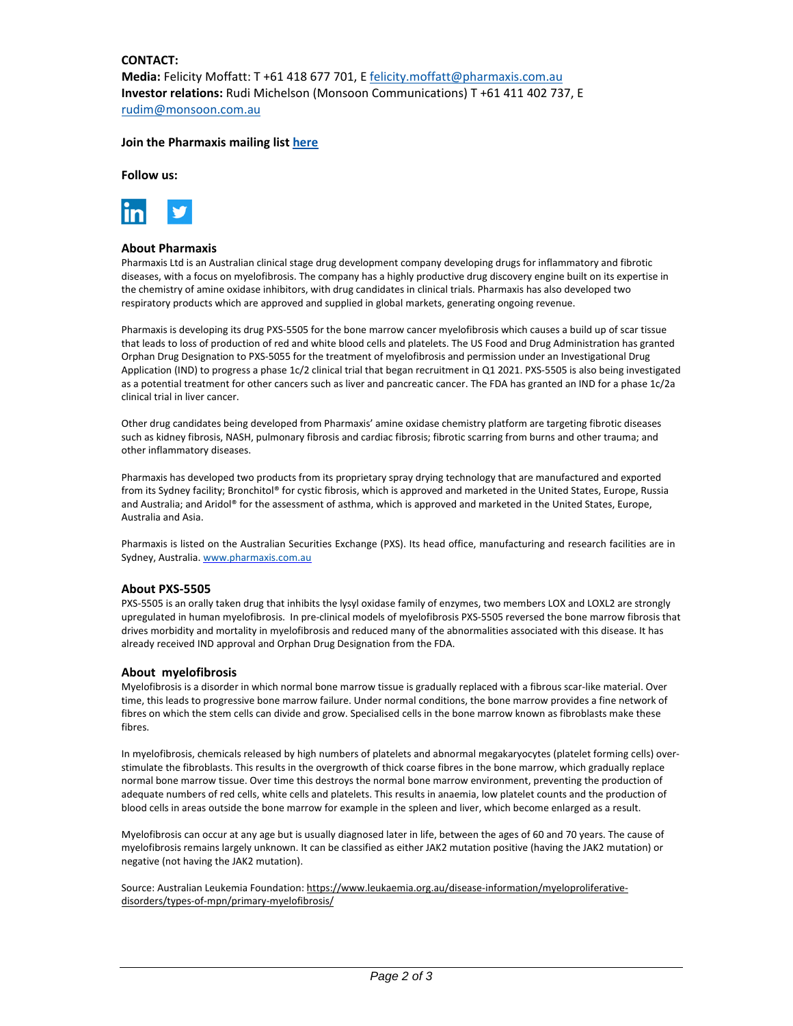## **CONTACT: Media:** Felicity Moffatt: T +61 418 677 701, E felicity.moffatt@pharmaxis.com.au **Investor relations:** Rudi Michelson (Monsoon Communications) T +61 411 402 737, E rudim@monsoon.com.au

### **Join the Pharmaxis mailing list [here](http://www.pharmaxis.com.au/investor-centre/subscribe/)**

**Follow us:** 



#### **About Pharmaxis**

Pharmaxis Ltd is an Australian clinical stage drug development company developing drugs for inflammatory and fibrotic diseases, with a focus on myelofibrosis. The company has a highly productive drug discovery engine built on its expertise in the chemistry of amine oxidase inhibitors, with drug candidates in clinical trials. Pharmaxis has also developed two respiratory products which are approved and supplied in global markets, generating ongoing revenue.

Pharmaxis is developing its drug PXS‐5505 for the bone marrow cancer myelofibrosis which causes a build up of scar tissue that leads to loss of production of red and white blood cells and platelets. The US Food and Drug Administration has granted Orphan Drug Designation to PXS‐5055 for the treatment of myelofibrosis and permission under an Investigational Drug Application (IND) to progress a phase 1c/2 clinical trial that began recruitment in Q1 2021. PXS‐5505 is also being investigated as a potential treatment for other cancers such as liver and pancreatic cancer. The FDA has granted an IND for a phase 1c/2a clinical trial in liver cancer.

Other drug candidates being developed from Pharmaxis' amine oxidase chemistry platform are targeting fibrotic diseases such as kidney fibrosis, NASH, pulmonary fibrosis and cardiac fibrosis; fibrotic scarring from burns and other trauma; and other inflammatory diseases.

Pharmaxis has developed two products from its proprietary spray drying technology that are manufactured and exported from its Sydney facility; Bronchitol® for cystic fibrosis, which is approved and marketed in the United States, Europe, Russia and Australia; and Aridol® for the assessment of asthma, which is approved and marketed in the United States, Europe, Australia and Asia.

Pharmaxis is listed on the Australian Securities Exchange (PXS). Its head office, manufacturing and research facilities are in Sydney, Australia. www.pharmaxis.com.au

#### **About PXS‐5505**

PXS‐5505 is an orally taken drug that inhibits the lysyl oxidase family of enzymes, two members LOX and LOXL2 are strongly upregulated in human myelofibrosis. In pre‐clinical models of myelofibrosis PXS‐5505 reversed the bone marrow fibrosis that drives morbidity and mortality in myelofibrosis and reduced many of the abnormalities associated with this disease. It has already received IND approval and Orphan Drug Designation from the FDA.

#### **About myelofibrosis**

Myelofibrosis is a disorder in which normal bone marrow tissue is gradually replaced with a fibrous scar‐like material. Over time, this leads to progressive bone marrow failure. Under normal conditions, the bone marrow provides a fine network of fibres on which the stem cells can divide and grow. Specialised cells in the bone marrow known as fibroblasts make these fibres.

In myelofibrosis, chemicals released by high numbers of platelets and abnormal megakaryocytes (platelet forming cells) over‐ stimulate the fibroblasts. This results in the overgrowth of thick coarse fibres in the bone marrow, which gradually replace normal bone marrow tissue. Over time this destroys the normal bone marrow environment, preventing the production of adequate numbers of red cells, white cells and platelets. This results in anaemia, low platelet counts and the production of blood cells in areas outside the bone marrow for example in the spleen and liver, which become enlarged as a result.

Myelofibrosis can occur at any age but is usually diagnosed later in life, between the ages of 60 and 70 years. The cause of myelofibrosis remains largely unknown. It can be classified as either JAK2 mutation positive (having the JAK2 mutation) or negative (not having the JAK2 mutation).

Source: Australian Leukemia Foundation: https://www.leukaemia.org.au/disease-information/myeloproliferativedisorders/types‐of‐mpn/primary‐myelofibrosis/